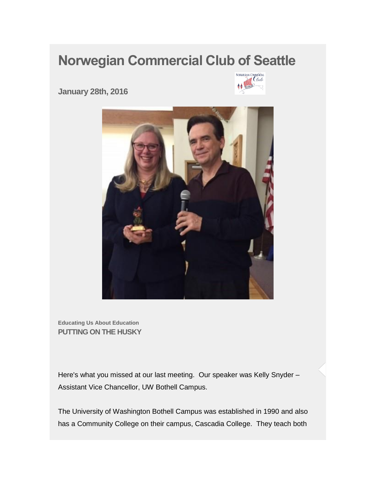## **Norwegian Commercial Club of Seattle**



**January 28th, 2016** 



**Educating Us About Education PUTTING ON THE HUSKY**

Here's what you missed at our last meeting. Our speaker was Kelly Snyder – Assistant Vice Chancellor, UW Bothell Campus.

The University of Washington Bothell Campus was established in 1990 and also has a Community College on their campus, Cascadia College. They teach both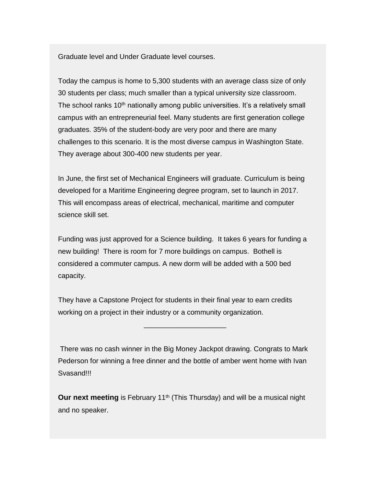Graduate level and Under Graduate level courses.

Today the campus is home to 5,300 students with an average class size of only 30 students per class; much smaller than a typical university size classroom. The school ranks 10<sup>th</sup> nationally among public universities. It's a relatively small campus with an entrepreneurial feel. Many students are first generation college graduates. 35% of the student-body are very poor and there are many challenges to this scenario. It is the most diverse campus in Washington State. They average about 300-400 new students per year.

In June, the first set of Mechanical Engineers will graduate. Curriculum is being developed for a Maritime Engineering degree program, set to launch in 2017. This will encompass areas of electrical, mechanical, maritime and computer science skill set.

Funding was just approved for a Science building. It takes 6 years for funding a new building! There is room for 7 more buildings on campus. Bothell is considered a commuter campus. A new dorm will be added with a 500 bed capacity.

They have a Capstone Project for students in their final year to earn credits working on a project in their industry or a community organization.

There was no cash winner in the Big Money Jackpot drawing. Congrats to Mark Pederson for winning a free dinner and the bottle of amber went home with Ivan Svasand!!!

\_\_\_\_\_\_\_\_\_\_\_\_\_\_\_\_\_\_\_\_\_

**Our next meeting** is February 11<sup>th</sup> (This Thursday) and will be a musical night and no speaker.